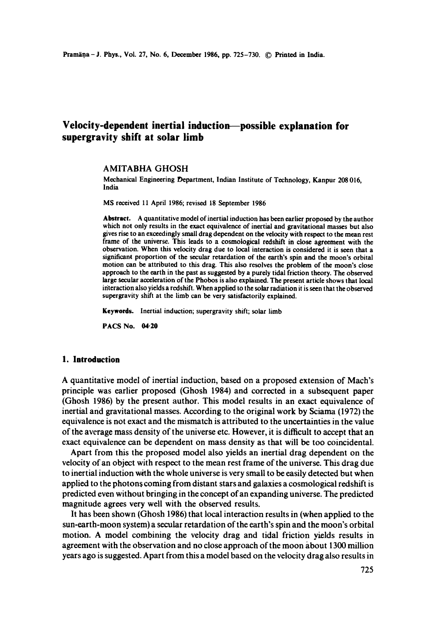# **Velocity-dependent inertial induction possible explanation for supergravity shift at solar limb**

### AMITABHA GHOSH

Mechanical Engineering Department, Indian Institute of Technology, Kanpur 208 016, India

MS received 11 April 1986; revised 18 September 1986

**Abstract.** A quantitative model of inertial induction has been earlier proposed by the author which not only results in the exact equivalence of inertial and gravitational masses but also gives rise to an exceedingly small drag dependent on the velocity with respect to the mean rest frame of the universe. This leads to a cosmological redshift in close agreement with the observation. When this velocity drag due to local interaction is considered it is seen that a significant proportion of the secular retardation of the earth's spin and the moon's orbital motion can be attributed to this drag. This also resolves the problem of the moon's close approach to the earth in the past as suggested by a purely tidal friction theory. The observed large secular acceleration of the Phobos is also explained. The present article shows that local interaction also yields a redshift. When applied to the solar radiation it is seen that the observed supergravity shift at the limb can be very satisfactorily explained.

**Keywords.** Inertial induction; supergravity shift; solar limb

**PACS No. 04.20** 

#### **1. Introduction**

A quantitative model of inertial induction, based on a proposed extension of Mach's principle was earlier proposed (Ghosh 1984) and corrected in a subsequent paper (Ghosh 1986) by the present author. This model results in an exact equivalence of inertial and gravitational masses. According to the original work by Sciama (1972) the equivalence is not exact and the mismatch is attributed to the uncertainties in the value of the average mass density of the universe etc. However, it is difficult to accept that an exact equivalence can be dependent on mass density as that will be too coincidental.

Apart from this the proposed model also yields an inertial drag dependent on the velocity of an object with respect to the mean rest frame of the universe. This drag due to inertial induction with the whole universe is very small to be easily detected but when applied to the photons coming from distant stars and galaxies a cosmological redshift is predicted even without bringing in the concept of an expanding universe. The predicted magnitude agrees very well with the observed results.

It has been shown (Ghosh 1986) that local interaction results in (when applied to the sun-earth-moon system) a secular retardation of the earth's spin and the moon's orbital motion. A model combining the velocity drag and tidal friction yields results in agreement with the observation and no close approach of the moon iabout 1300 million years ago is suggested. Apart from this a model based on the velocity drag also results in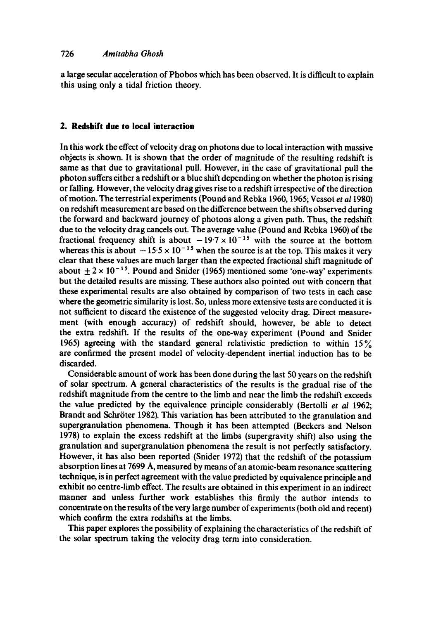a large secular acceleration of Phobos which has been observed. It is difficult to explain this using only a tidal friction theory.

## **2. Redshift due to local interaction**

In this work the effect of velocity drag on photons due to local interaction with massive objects is shown. It is shown that the order of magnitude of the resulting redshift is same as that due to gravitational pull. However, in' the case of gravitational pull the photon suffers either a redshift or a blue shift depending on whether the photon is rising or falling. However, the velocity drag gives rise to a redshift irrespective of the direction of motion. The terrestrial experiments (Pound and Rebka 1960, 1965; Vessot *et al* I980) on redshift measurement are based on the difference between the shifts observed during the forward and backward journey of photons along a given path. Thus, the redshift due to the velocity drag cancels out. The average value (Pound and Rebka 1960) of the fractional frequency shift is about  $-19.7 \times 10^{-15}$  with the source at the bottom whereas this is about  $-15.5 \times 10^{-15}$  when the source is at the top. This makes it very clear that these values are much larger than the expected fractional shift magnitude of about  $+2 \times 10^{-15}$ . Pound and Snider (1965) mentioned some 'one-way' experiments but the detailed results are missing. These authors also pointed out with concern that these experimental results are also obtained by comparison of two tests in each case where the geometric similarity is lost. So, unless more extensive tests are conducted it is not sufficient to discard the existence of the suggested velocity drag. Direct measurement (with enough accuracy) of redshift should, however, be able to detect the extra redshift. If the results of the one-way experiment (Pound and Snider 1965) agreeing with the standard general relativistic prediction to within  $15\%$ are confirmed the present model of velocity-dependent inertial induction has to be discarded.

Considerable amount of work has been done during the last 50 years on the redshift of solar spectrum. A general characteristics of the results is the gradual rise of the redshift magnitude from the centre to the limb and near the limb the redshift exceeds the value predicted by the equivalence principle considerably (Bertolli *et at* 1962; Brandt and Schröter 1982). This variation has been attributed to the granulation and supergranulation phenomena. Though it has been attempted (Beckers and Nelson 1978) to explain the excess redshift at the limbs (supergravity shift) also using **the**  granulation and supergranulation phenomena the result is not perfectly satisfactory. However, it has also been reported (Snider 1972) that the redshift of the potassium absorption lines at 7699 A, measured by means of an atomic-beam resonance scattering technique, is in perfect agreement with the value predicted by equivalence principle and exhibit no centre-limb effect. The results are obtained in this experiment in an indirect manner and unless further work establishes this firmly the author intends to concentrate on the results of the very large number of experiments (both old and recent) which confirm the extra redshifts at the limbs.

This paper explores the possibility of explaining the characteristics of the redshift of the solar spectrum taking the velocity drag term into consideration.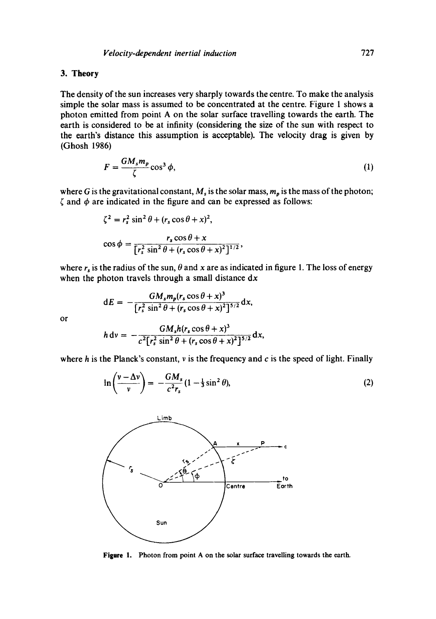## **3. Theory**

The density of the sun increases very sharply towards the centre. To make the analysis simple the solar mass is assumed to be concentrated at the centre. Figure 1 shows a photon emitted from point A on the solar surface travelling towards the earth. The earth is considered to be at infinity (considering the size of the sun with respect to the earth's distance this assumption is acceptable). The velocity drag is given by (Ghosh 1986)

$$
F = \frac{GM_s m_p}{\zeta} \cos^3 \phi,\tag{1}
$$

where G is the gravitational constant,  $M_s$  is the solar mass,  $m_p$  is the mass of the photon;  $\zeta$  and  $\phi$  are indicated in the figure and can be expressed as follows:

$$
\zeta^2 = r_s^2 \sin^2 \theta + (r_s \cos \theta + x)^2,
$$
  

$$
\cos \phi = \frac{r_s \cos \theta + x}{\left[r_s^2 \sin^2 \theta + (r_s \cos \theta + x)^2\right]^{1/2}},
$$

where  $r_s$  is the radius of the sun,  $\theta$  and x are as indicated in figure 1. The loss of energy when the photon travels through a small distance  $dx$ 

$$
dE = -\frac{GM_s m_p (r_s \cos \theta + x)^3}{[r_s^2 \sin^2 \theta + (r_s \cos \theta + x)^2]^{3/2}} dx,
$$

or

$$
h dv = -\frac{GM_s h(r_s \cos \theta + x)^3}{c^2 [r_s^2 \sin^2 \theta + (r_s \cos \theta + x)^2]^{5/2}} dx,
$$

where h is the Planck's constant,  $\nu$  is the frequency and c is the speed of light. Finally

$$
\ln\left(\frac{v-\Delta v}{v}\right) = -\frac{GM_s}{c^2r_s}(1-\frac{1}{3}\sin^2\theta),\tag{2}
$$



Figure 1. Photon from point A on the solar surface travelling towards the earth.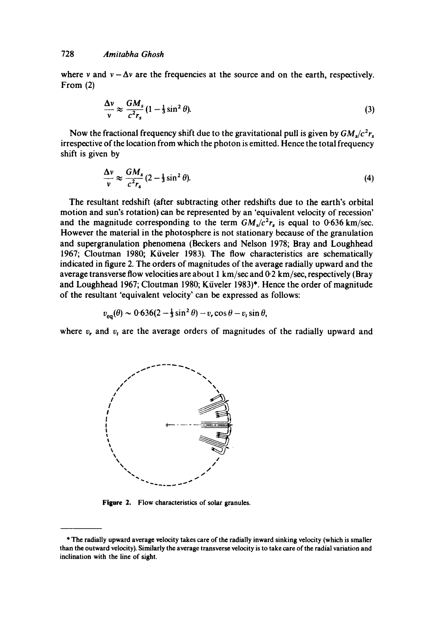where v and  $v - \Delta v$  are the frequencies at the source and on the earth, respectively. From (2)

$$
\frac{\Delta v}{v} \approx \frac{GM_s}{c^2 r_s} (1 - \frac{1}{3} \sin^2 \theta). \tag{3}
$$

Now the fractional frequency shift due to the gravitational pull is given by  $GM<sub>s</sub>/c<sup>2</sup>r<sub>s</sub>$ irrespective of the location from which the photon is emitted. Hence the total frequency shift is given by

$$
\frac{\Delta v}{v} \approx \frac{GM_s}{c^2 r_s} (2 - \frac{1}{3} \sin^2 \theta). \tag{4}
$$

The resultant redshift (after subtracting other redshifts due to the earth's orbital motion and sun's rotation) can be represented by an 'equivalent velocity of recession' and the magnitude corresponding to the term  $GM_s/c^2r_s$  is equal to 0.636 km/sec. However the material in the photosphere is not stationary because of the granulation and supergranulation phenomena (Beckers and Nelson 1978; Bray and Loughhead 1967; Cloutman 1980; Küveler 1983). The flow characteristics are schematically indicated in figure 2. The orders of magnitudes of the average radially upward and the average transverse flow velocities are about 1 km/sec and 0-2 km/sec, respectively (Bray and Loughhead 1967; Cloutman 1980; Küveler 1983)\*. Hence the order of magnitude of the resultant 'equivalent velocity' can be expressed as follows:

$$
v_{\rm eq}(\theta) \sim 0.636(2-\frac{1}{3}\sin^2\theta) - v_r\cos\theta - v_t\sin\theta
$$

where  $v_r$  and  $v_t$  are the average orders of magnitudes of the radially upward and



**Figure 2. Flow characteristics of solar granules.** 

**<sup>\*</sup> The radially upward average velocity takes care of the radially inward sinking velocity (which is smaller than the outward velocity). Similarly the average transverse velocity is to take care of the radial variation and inclination with the line of sight.**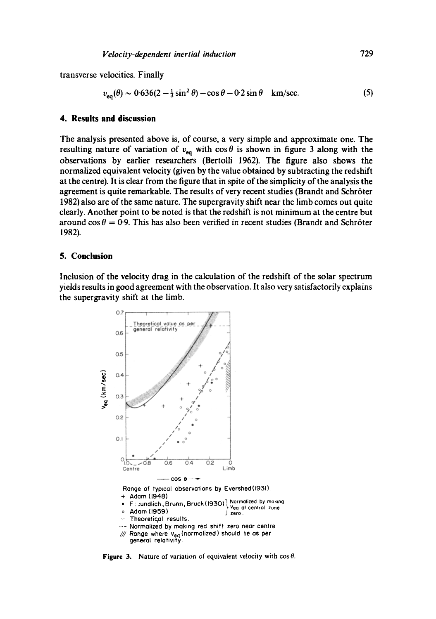transverse velocities. Finally

$$
v_{\rm eq}(\theta) \sim 0.636(2 - \frac{1}{3}\sin^2\theta) - \cos\theta - 0.2\sin\theta \quad \text{km/sec.} \tag{5}
$$

### **4. Results and discussion**

The analysis presented above is, of course, a very simple and approximate one. The resulting nature of variation of  $v_{eq}$  with  $\cos \theta$  is shown in figure 3 along with the observations by earlier researchers (Bertolli 1962). The figure also shows the normalized equivalent velocity (given by the value obtained by subtracting the redshift at the centre). It is clear from the figure that in spite of the simplicity of the analysis the agreement is quite remarkable. The results of very recent studies (Brandt and Schröter 1982) also are of the same nature. The supergravity shift near the limb comes out quite clearly. Another point to be noted is that the redshift is not minimum at the centre but around cos  $\theta = 0.9$ . This has also been verified in recent studies (Brandt and Schröter 1982).

### **5. Conclusion**

Inclusion of the velocity drag in the calculation of the redshift of the solar spectrum yields results in good agreement with the observation. It also very satisfactorily explains the supergravity shift at the limb.



**Figure 3.** Nature of variation of equivalent velocity with  $\cos \theta$ .